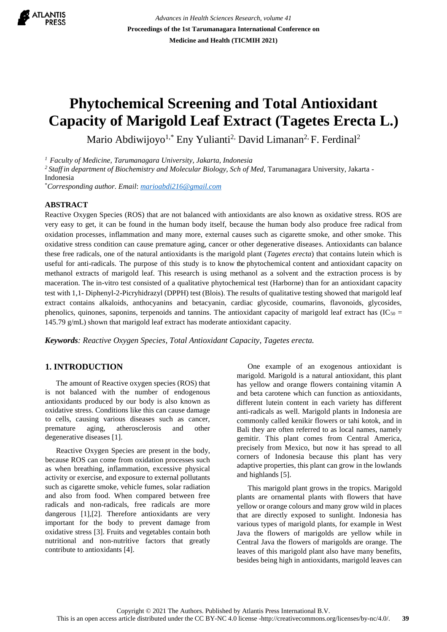

*Advances in Health Sciences Research, volume 41* **Proceedings of the 1st Tarumanagara International Conference on Medicine and Health (TICMIH 2021)**

# **Phytochemical Screening and Total Antioxidant Capacity of Marigold Leaf Extract (Tagetes Erecta L.)**

Mario Abdiwijoyo<sup>1,\*</sup> Eny Yulianti<sup>2,</sup> David Limanan<sup>2,</sup> F. Ferdinal<sup>2</sup>

*<sup>1</sup>Faculty of Medicine, Tarumanagara University, Jakarta, Indonesia* 

<sup>2</sup> Staff in department of Biochemistry and Molecular Biology, Sch of Med, Tarumanagara University, Jakarta -Indonesia

\**Corresponding author. Email*: *[marioabdi216@gmail.com](mailto:marioabdi216@gmail.com)*

### **ABSTRACT**

Reactive Oxygen Species (ROS) that are not balanced with antioxidants are also known as oxidative stress. ROS are very easy to get, it can be found in the human body itself, because the human body also produce free radical from oxidation processes, inflammation and many more, external causes such as cigarette smoke, and other smoke. This oxidative stress condition can cause premature aging, cancer or other degenerative diseases. Antioxidants can balance these free radicals, one of the natural antioxidants is the marigold plant (*Tagetes erecta*) that contains lutein which is useful for anti-radicals. The purpose of this study is to know the phytochemical content and antioxidant capacity on methanol extracts of marigold leaf. This research is using methanol as a solvent and the extraction process is by maceration. The in-vitro test consisted of a qualitative phytochemical test (Harborne) than for an antioxidant capacity test with 1,1- Diphenyl-2-Picryhidrazyl (DPPH) test (Blois). The results of qualitative testing showed that marigold leaf extract contains alkaloids, anthocyanins and betacyanin, cardiac glycoside, coumarins, flavonoids, glycosides, phenolics, quinones, saponins, terpenoids and tannins. The antioxidant capacity of marigold leaf extract has  $(IC_{50} =$ 145.79 g/mL) shown that marigold leaf extract has moderate antioxidant capacity.

*Keywords: Reactive Oxygen Species, Total Antioxidant Capacity, Tagetes erecta.*

## **1. INTRODUCTION**

The amount of Reactive oxygen species (ROS) that is not balanced with the number of endogenous antioxidants produced by our body is also known as oxidative stress. Conditions like this can cause damage to cells, causing various diseases such as cancer, premature aging, atherosclerosis and other degenerative diseases [1].

Reactive Oxygen Species are present in the body, because ROS can come from oxidation processes such as when breathing, inflammation, excessive physical activity or exercise, and exposure to external pollutants such as cigarette smoke, vehicle fumes, solar radiation and also from food. When compared between free radicals and non-radicals, free radicals are more dangerous [1],[2]. Therefore antioxidants are very important for the body to prevent damage from oxidative stress [3]. Fruits and vegetables contain both nutritional and non-nutritive factors that greatly contribute to antioxidants [4].

One example of an exogenous antioxidant is marigold. Marigold is a natural antioxidant, this plant has yellow and orange flowers containing vitamin A and beta carotene which can function as antioxidants, different lutein content in each variety has different anti-radicals as well. Marigold plants in Indonesia are commonly called kenikir flowers or tahi kotok, and in Bali they are often referred to as local names, namely gemitir. This plant comes from Central America, precisely from Mexico, but now it has spread to all corners of Indonesia because this plant has very adaptive properties, this plant can grow in the lowlands and highlands [5].

This marigold plant grows in the tropics. Marigold plants are ornamental plants with flowers that have yellow or orange colours and many grow wild in places that are directly exposed to sunlight. Indonesia has various types of marigold plants, for example in West Java the flowers of marigolds are yellow while in Central Java the flowers of marigolds are orange. The leaves of this marigold plant also have many benefits, besides being high in antioxidants, marigold leaves can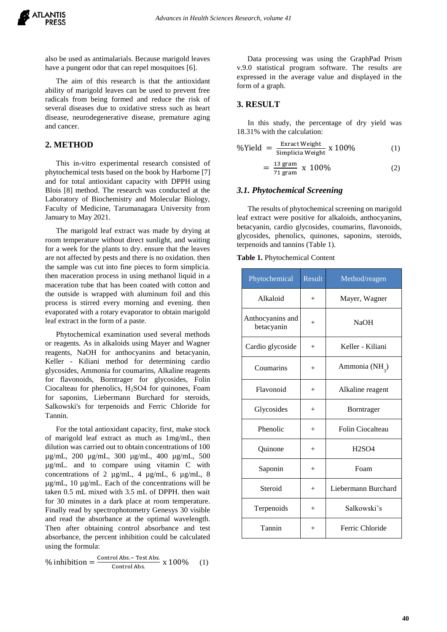also be used as antimalarials. Because marigold leaves have a pungent odor that can repel mosquitoes [6].

The aim of this research is that the antioxidant ability of marigold leaves can be used to prevent free radicals from being formed and reduce the risk of several diseases due to oxidative stress such as heart disease, neurodegenerative disease, premature aging and cancer.

## **2. METHOD**

This in-vitro experimental research consisted of phytochemical tests based on the book by Harborne [7] and for total antioxidant capacity with DPPH using Blois [8] method. The research was conducted at the Laboratory of Biochemistry and Molecular Biology, Faculty of Medicine, Tarumanagara University from January to May 2021.

The marigold leaf extract was made by drying at room temperature without direct sunlight, and waiting for a week for the plants to dry. ensure that the leaves are not affected by pests and there is no oxidation. then the sample was cut into fine pieces to form simplicia. then maceration process in using methanol liquid in a maceration tube that has been coated with cotton and the outside is wrapped with aluminum foil and this process is stirred every morning and evening. then evaporated with a rotary evaporator to obtain marigold leaf extract in the form of a paste.

Phytochemical examination used several methods or reagents. As in alkaloids using Mayer and Wagner reagents, NaOH for anthocyanins and betacyanin, Keller - Kiliani method for determining cardio glycosides, Ammonia for coumarins, Alkaline reagents for flavonoids, Borntrager for glycosides, Folin Ciocalteau for phenolics, H2SO4 for quinones, Foam for saponins, Liebermann Burchard for steroids, Salkowski's for terpenoids and Ferric Chloride for Tannin.

For the total antioxidant capacity, first, make stock of marigold leaf extract as much as 1mg/mL, then dilution was carried out to obtain concentrations of 100 µg/mL, 200 µg/mL, 300 µg/mL, 400 µg/mL, 500 µg/mL. and to compare using vitamin C with concentrations of 2 µg/mL, 4 µg/mL, 6 µg/mL, 8 µg/mL, 10 µg/mL. Each of the concentrations will be taken 0.5 mL mixed with 3.5 mL of DPPH. then wait for 30 minutes in a dark place at room temperature. Finally read by spectrophotometry Genesys 30 visible and read the absorbance at the optimal wavelength. Then after obtaining control absorbance and test absorbance, the percent inhibition could be calculated using the formula:

$$
\% inhibition = \frac{\text{Control Abs.} - \text{Test Abs.}}{\text{Control Abs.}} \times 100\% \quad (1)
$$

Data processing was using the GraphPad Prism v.9.0 statistical program software. The results are expressed in the average value and displayed in the form of a graph.

## **3. RESULT**

In this study, the percentage of dry yield was 18.31% with the calculation:

$$
\frac{\%\text{Yield}}{\text{Simplicia Weight}} \times 100\% \tag{1}
$$

$$
=\frac{13 \text{ gram}}{71 \text{ gram}} \times 100\%
$$
 (2)

## *3.1. Phytochemical Screening*

The results of phytochemical screening on marigold leaf extract were positive for alkaloids, anthocyanins, betacyanin, cardio glycosides, coumarins, flavonoids, glycosides, phenolics, quinones, saponins, steroids, terpenoids and tannins (Table 1).

#### **Table 1.** Phytochemical Content

| Phytochemical                  | Result | Method/reagen              |  |
|--------------------------------|--------|----------------------------|--|
| Alkaloid                       | $+$    | Mayer, Wagner              |  |
| Anthocyanins and<br>betacyanin | $^{+}$ | <b>NaOH</b>                |  |
| Cardio glycoside               | $^{+}$ | Keller - Kiliani           |  |
| Coumarins                      | $^{+}$ | Ammonia (NH <sub>3</sub> ) |  |
| Flavonoid                      | $^{+}$ | Alkaline reagent           |  |
| Glycosides                     | $+$    | Borntrager                 |  |
| Phenolic                       | $+$    | Folin Ciocalteau           |  |
| Quinone                        | $^{+}$ | <b>H2SO4</b>               |  |
| Saponin                        | $^{+}$ | Foam                       |  |
| Steroid                        | $^{+}$ | Liebermann Burchard        |  |
| Terpenoids                     | $+$    | Salkowski's                |  |
| Tannin                         | $+$    | Ferric Chloride            |  |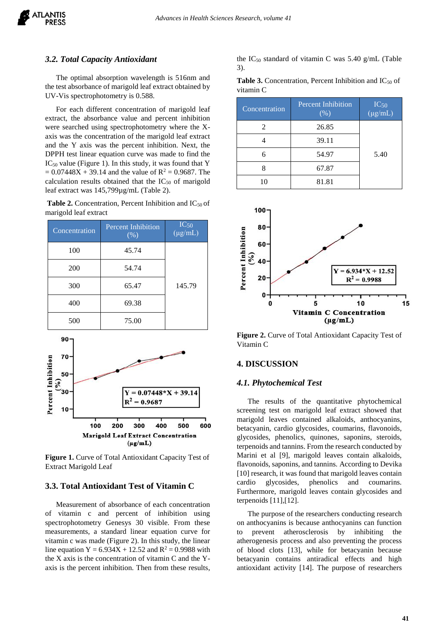#### *3.2. Total Capacity Antioxidant*

The optimal absorption wavelength is 516nm and the test absorbance of marigold leaf extract obtained by UV-Vis spectrophotometry is 0.588.

For each different concentration of marigold leaf extract, the absorbance value and percent inhibition were searched using spectrophotometry where the Xaxis was the concentration of the marigold leaf extract and the Y axis was the percent inhibition. Next, the DPPH test linear equation curve was made to find the  $IC_{50}$  value (Figure 1). In this study, it was found that Y  $= 0.07448X + 39.14$  and the value of  $R^2 = 0.9687$ . The calculation results obtained that the  $IC_{50}$  of marigold leaf extract was 145,799µg/mL (Table 2).

**Table 2.** Concentration, Percent Inhibition and IC<sub>50</sub> of marigold leaf extract

| Concentration | <b>Percent Inhibition</b><br>$(\frac{9}{6})$ | $IC_{50}$<br>$(\mu g/mL)$ |
|---------------|----------------------------------------------|---------------------------|
| 100           | 45.74                                        |                           |
| 200           | 54.74                                        |                           |
| 300           | 65.47                                        | 145.79                    |
| 400           | 69.38                                        |                           |
| 500           | 75.00                                        |                           |



**Figure 1.** Curve of Total Antioxidant Capacity Test of Extract Marigold Leaf

### **3.3. Total Antioxidant Test of Vitamin C**

Measurement of absorbance of each concentration of vitamin c and percent of inhibition using spectrophotometry Genesys 30 visible. From these measurements, a standard linear equation curve for vitamin c was made (Figure 2). In this study, the linear line equation Y =  $6.934X + 12.52$  and R<sup>2</sup> = 0.9988 with the X axis is the concentration of vitamin C and the Yaxis is the percent inhibition. Then from these results, the  $IC_{50}$  standard of vitamin C was 5.40 g/mL (Table 3).

**Table 3.** Concentration, Percent Inhibition and  $IC_{50}$  of vitamin C

| Concentration | <b>Percent Inhibition</b><br>$(\% )$ | $IC_{50}$<br>$(\mu g/mL)$ |
|---------------|--------------------------------------|---------------------------|
| 2             | 26.85                                |                           |
|               | 39.11                                |                           |
| 6             | 54.97                                | 5.40                      |
|               | 67.87                                |                           |
| 10            | 81.81                                |                           |



**Figure 2.** Curve of Total Antioxidant Capacity Test of Vitamin C

### **4. DISCUSSION**

#### *4.1. Phytochemical Test*

The results of the quantitative phytochemical screening test on marigold leaf extract showed that marigold leaves contained alkaloids, anthocyanins, betacyanin, cardio glycosides, coumarins, flavonoids, glycosides, phenolics, quinones, saponins, steroids, terpenoids and tannins. From the research conducted by Marini et al [9], marigold leaves contain alkaloids, flavonoids, saponins, and tannins. According to Devika [10] research, it was found that marigold leaves contain cardio glycosides, phenolics and coumarins. Furthermore, marigold leaves contain glycosides and terpenoids [11],[12].

The purpose of the researchers conducting research on anthocyanins is because anthocyanins can function to prevent atherosclerosis by inhibiting the atherogenesis process and also preventing the process of blood clots [13], while for betacyanin because betacyanin contains antiradical effects and high antioxidant activity [14]. The purpose of researchers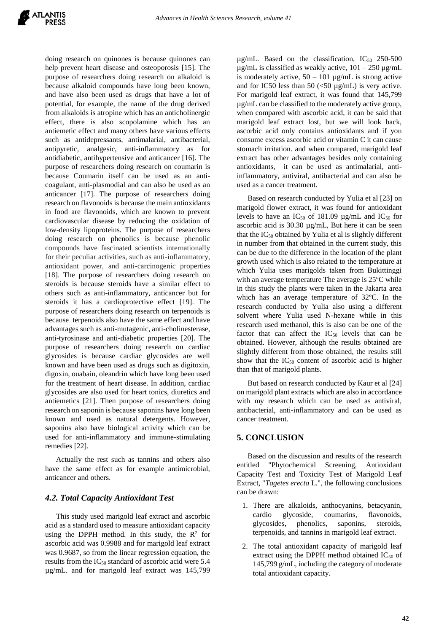doing research on quinones is because quinones can help prevent heart disease and osteoporosis [15]. The purpose of researchers doing research on alkaloid is because alkaloid compounds have long been known, and have also been used as drugs that have a lot of potential, for example, the name of the drug derived from alkaloids is atropine which has an anticholinergic effect, there is also scopolamine which has an antiemetic effect and many others have various effects such as antidepressants, antimalarial, antibacterial, antipyretic, analgesic, anti-inflammatory as for antidiabetic, antihypertensive and anticancer [16]. The purpose of researchers doing research on coumarin is because Coumarin itself can be used as an anticoagulant, anti-plasmodial and can also be used as an anticancer [17]. The purpose of researchers doing research on flavonoids is because the main antioxidants in food are flavonoids, which are known to prevent cardiovascular disease by reducing the oxidation of low-density lipoproteins. The purpose of researchers doing research on phenolics is because phenolic compounds have fascinated scientists internationally for their peculiar activities, such as anti-inflammatory, antioxidant power, and anti-carcinogenic properties [18]. The purpose of researchers doing research on steroids is because steroids have a similar effect to others such as anti-inflammatory, anticancer but for steroids it has a cardioprotective effect [19]. The purpose of researchers doing research on terpenoids is because terpenoids also have the same effect and have advantages such as anti-mutagenic, anti-cholinesterase, anti-tyrosinase and anti-diabetic properties [20]. The purpose of researchers doing research on cardiac glycosides is because cardiac glycosides are well known and have been used as drugs such as digitoxin, digoxin, ouabain, oleandrin which have long been used for the treatment of heart disease. In addition, cardiac glycosides are also used for heart tonics, diuretics and antiemetics [21]. Then purpose of researchers doing research on saponin is because saponins have long been known and used as natural detergents. However, saponins also have biological activity which can be used for anti-inflammatory and immune-stimulating remedies [22].

Actually the rest such as tannins and others also have the same effect as for example antimicrobial, anticancer and others.

## *4.2. Total Capacity Antioxidant Test*

This study used marigold leaf extract and ascorbic acid as a standard used to measure antioxidant capacity using the DPPH method. In this study, the  $\mathbb{R}^2$  for ascorbic acid was 0.9988 and for marigold leaf extract was 0.9687, so from the linear regression equation, the results from the  $IC_{50}$  standard of ascorbic acid were 5.4 µg/mL. and for marigold leaf extract was 145,799

 $\mu$ g/mL. Based on the classification, IC<sub>50</sub> 250-500 µg/mL is classified as weakly active,  $101 - 250$  µg/mL is moderately active,  $50 - 101 \mu g/mL$  is strong active and for IC50 less than 50  $\left(\frac{50 \text{ µg}}{m} \right)$  is very active. For marigold leaf extract, it was found that 145,799 µg/mL can be classified to the moderately active group, when compared with ascorbic acid, it can be said that marigold leaf extract lost, but we will look back, ascorbic acid only contains antioxidants and if you consume excess ascorbic acid or vitamin C it can cause stomach irritation. and when compared, marigold leaf extract has other advantages besides only containing antioxidants, it can be used as antimalarial, antiinflammatory, antiviral, antibacterial and can also be used as a cancer treatment.

Based on research conducted by Yulia et al [23] on marigold flower extract, it was found for antioxidant levels to have an  $IC_{50}$  of 181.09  $\mu$ g/mL and  $IC_{50}$  for ascorbic acid is 30.30 µg/mL, But here it can be seen that the  $IC_{50}$  obtained by Yulia et al is slightly different in number from that obtained in the current study, this can be due to the difference in the location of the plant growth used which is also related to the temperature at which Yulia uses marigolds taken from Bukittinggi with an average temperature The average is 25ºC while in this study the plants were taken in the Jakarta area which has an average temperature of 32ºC. In the research conducted by Yulia also using a different solvent where Yulia used N-hexane while in this research used methanol, this is also can be one of the factor that can affect the  $IC_{50}$  levels that can be obtained. However, although the results obtained are slightly different from those obtained, the results still show that the  $IC_{50}$  content of ascorbic acid is higher than that of marigold plants.

But based on research conducted by Kaur et al [24] on marigold plant extracts which are also in accordance with my research which can be used as antiviral, antibacterial, anti-inflammatory and can be used as cancer treatment.

### **5. CONCLUSION**

Based on the discussion and results of the research entitled "Phytochemical Screening, Antioxidant Capacity Test and Toxicity Test of Marigold Leaf Extract, "*Tagetes erecta* L.", the following conclusions can be drawn:

- 1. There are alkaloids, anthocyanins, betacyanin, cardio glycoside, coumarins, flavonoids, glycosides, phenolics, saponins, steroids, terpenoids, and tannins in marigold leaf extract.
- 2. The total antioxidant capacity of marigold leaf extract using the DPPH method obtained  $IC_{50}$  of 145,799 g/mL, including the category of moderate total antioxidant capacity.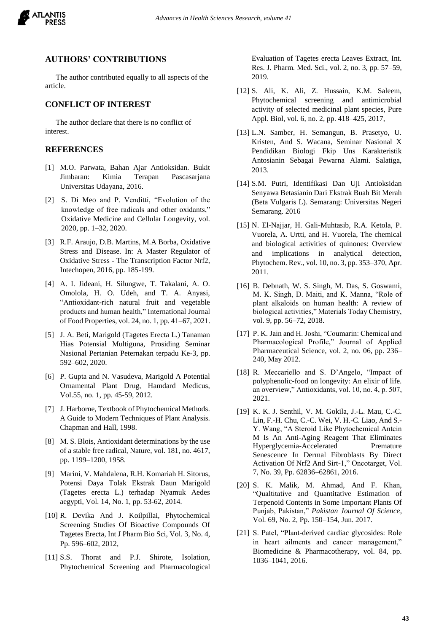

#### **AUTHORS' CONTRIBUTIONS**

The author contributed equally to all aspects of the article.

## **CONFLICT OF INTEREST**

The author declare that there is no conflict of interest.

### **REFERENCES**

- [1] M.O. Parwata, Bahan Ajar Antioksidan. Bukit Jimbaran: Kimia Terapan Pascasarjana Universitas Udayana, 2016.
- [2] S. Di Meo and P. Venditti, "Evolution of the knowledge of free radicals and other oxidants," Oxidative Medicine and Cellular Longevity, vol. 2020, pp. 1–32, 2020.
- [3] R.F. Araujo, D.B. Martins, M.A Borba, Oxidative Stress and Disease. In: A Master Regulator of Oxidative Stress - The Transcription Factor Nrf2, Intechopen, 2016, pp. 185-199.
- [4] A. I. Jideani, H. Silungwe, T. Takalani, A. O. Omolola, H. O. Udeh, and T. A. Anyasi, "Antioxidant-rich natural fruit and vegetable products and human health," International Journal of Food Properties, vol. 24, no. 1, pp. 41–67, 2021.
- [5] J. A. Beti, Marigold (Tagetes Erecta L.) Tanaman Hias Potensial Multiguna, Prosiding Seminar Nasional Pertanian Peternakan terpadu Ke-3, pp. 592–602, 2020.
- [6] P. Gupta and N. Vasudeva, Marigold A Potential Ornamental Plant Drug, Hamdard Medicus, Vol.55, no. 1, pp. 45-59, 2012.
- [7] J. Harborne, Textbook of Phytochemical Methods. A Guide to Modern Techniques of Plant Analysis. Chapman and Hall, 1998.
- [8] M. S. Blois, Antioxidant determinations by the use of a stable free radical, Nature, vol. 181, no. 4617, pp. 1199–1200, 1958.
- [9] Marini, V. Mahdalena, R.H. Komariah H. Sitorus, Potensi Daya Tolak Ekstrak Daun Marigold (Tagetes erecta L.) terhadap Nyamuk Aedes aegypti, Vol. 14, No. 1, pp. 53-62, 2014.
- [10] R. Devika And J. Koilpillai, Phytochemical Screening Studies Of Bioactive Compounds Of Tagetes Erecta, Int J Pharm Bio Sci, Vol. 3, No. 4, Pp. 596–602, 2012,
- [11] S.S. Thorat and P.J. Shirote, Isolation, Phytochemical Screening and Pharmacological

Evaluation of Tagetes erecta Leaves Extract, Int. Res. J. Pharm. Med. Sci., vol. 2, no. 3, pp. 57–59, 2019.

- [12] S. Ali, K. Ali, Z. Hussain, K.M. Saleem, Phytochemical screening and antimicrobial activity of selected medicinal plant species, Pure Appl. Biol, vol. 6, no. 2, pp. 418–425, 2017,
- [13] L.N. Samber, H. Semangun, B. Prasetyo, U. Kristen, And S. Wacana, Seminar Nasional X Pendidikan Biologi Fkip Uns Karakteristik Antosianin Sebagai Pewarna Alami. Salatiga, 2013.
- [14] S.M. Putri, Identifikasi Dan Uji Antioksidan Senyawa Betasianin Dari Ekstrak Buah Bit Merah (Beta Vulgaris L). Semarang: Universitas Negeri Semarang. 2016
- [15] N. El-Najjar, H. Gali-Muhtasib, R.A. Ketola, P. Vuorela, A. Urtti, and H. Vuorela, The chemical and biological activities of quinones: Overview and implications in analytical detection, Phytochem. Rev., vol. 10, no. 3, pp. 353–370, Apr. 2011.
- [16] B. Debnath, W. S. Singh, M. Das, S. Goswami, M. K. Singh, D. Maiti, and K. Manna, "Role of plant alkaloids on human health: A review of biological activities," Materials Today Chemistry, vol. 9, pp. 56–72, 2018.
- [17] P. K. Jain and H. Joshi, "Coumarin: Chemical and Pharmacological Profile," Journal of Applied Pharmaceutical Science, vol. 2, no. 06, pp. 236– 240, May 2012.
- [18] R. Meccariello and S. D'Angelo, "Impact of polyphenolic-food on longevity: An elixir of life. an overview," Antioxidants, vol. 10, no. 4, p. 507, 2021.
- [19] K. K. J. Senthil, V. M. Gokila, J.-L. Mau, C.-C. Lin, F.-H. Chu, C.-C. Wei, V. H.-C. Liao, And S.- Y. Wang, "A Steroid Like Phytochemical Antcin M Is An Anti-Aging Reagent That Eliminates Hyperglycemia-Accelerated Premature Senescence In Dermal Fibroblasts By Direct Activation Of Nrf2 And Sirt-1," Oncotarget, Vol. 7, No. 39, Pp. 62836–62861, 2016.
- [20] S. K. Malik, M. Ahmad, And F. Khan, "Qualtitative and Quantitative Estimation of Terpenoid Contents in Some Important Plants Of Punjab, Pakistan," *Pakistan Journal Of Science*, Vol. 69, No. 2, Pp. 150–154, Jun. 2017.
- [21] S. Patel, "Plant-derived cardiac glycosides: Role in heart ailments and cancer management," Biomedicine & Pharmacotherapy, vol. 84, pp. 1036–1041, 2016.